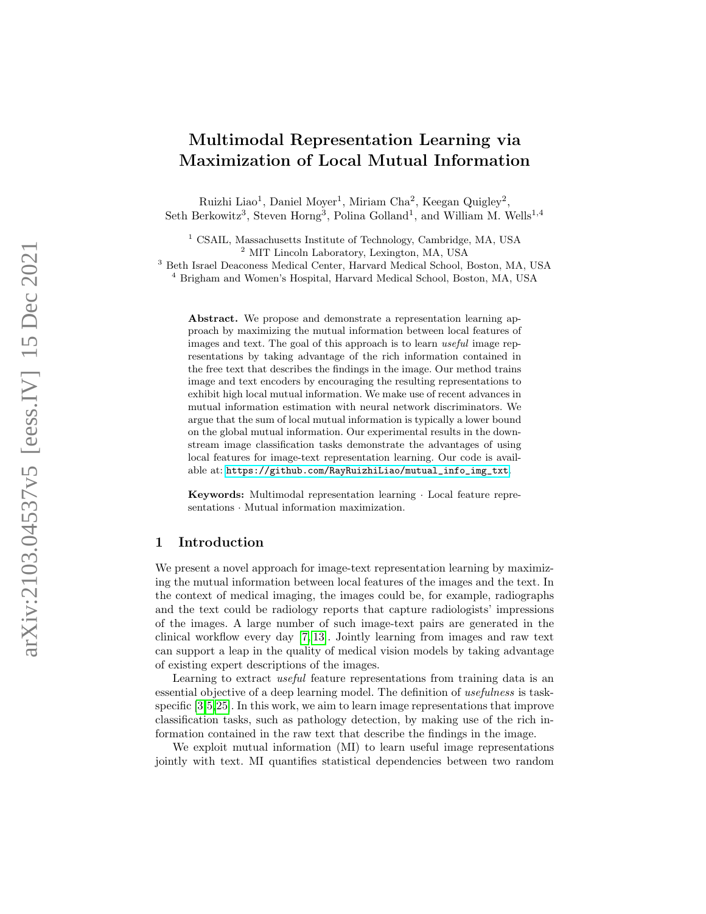# Multimodal Representation Learning via Maximization of Local Mutual Information

Ruizhi Liao<sup>1</sup>, Daniel Moyer<sup>1</sup>, Miriam Cha<sup>2</sup>, Keegan Quigley<sup>2</sup>, Seth Berkowitz<sup>3</sup>, Steven Horng<sup>3</sup>, Polina Golland<sup>1</sup>, and William M. Wells<sup>1,4</sup>

<sup>1</sup> CSAIL, Massachusetts Institute of Technology, Cambridge, MA, USA <sup>2</sup> MIT Lincoln Laboratory, Lexington, MA, USA

<sup>3</sup> Beth Israel Deaconess Medical Center, Harvard Medical School, Boston, MA, USA <sup>4</sup> Brigham and Women's Hospital, Harvard Medical School, Boston, MA, USA

Abstract. We propose and demonstrate a representation learning approach by maximizing the mutual information between local features of images and text. The goal of this approach is to learn useful image representations by taking advantage of the rich information contained in the free text that describes the findings in the image. Our method trains image and text encoders by encouraging the resulting representations to exhibit high local mutual information. We make use of recent advances in mutual information estimation with neural network discriminators. We argue that the sum of local mutual information is typically a lower bound on the global mutual information. Our experimental results in the downstream image classification tasks demonstrate the advantages of using local features for image-text representation learning. Our code is available at: [https://github.com/RayRuizhiLiao/mutual\\_info\\_img\\_txt](https://github.com/RayRuizhiLiao/mutual_info_img_txt).

Keywords: Multimodal representation learning · Local feature representations · Mutual information maximization.

### <span id="page-0-0"></span>1 Introduction

We present a novel approach for image-text representation learning by maximizing the mutual information between local features of the images and the text. In the context of medical imaging, the images could be, for example, radiographs and the text could be radiology reports that capture radiologists' impressions of the images. A large number of such image-text pairs are generated in the clinical workflow every day [\[7,](#page-9-0) [13\]](#page-9-1). Jointly learning from images and raw text can support a leap in the quality of medical vision models by taking advantage of existing expert descriptions of the images.

Learning to extract *useful* feature representations from training data is an essential objective of a deep learning model. The definition of usefulness is taskspecific [\[3](#page-9-2)[,5,](#page-9-3)[25\]](#page-10-0). In this work, we aim to learn image representations that improve classification tasks, such as pathology detection, by making use of the rich information contained in the raw text that describe the findings in the image.

We exploit mutual information (MI) to learn useful image representations jointly with text. MI quantifies statistical dependencies between two random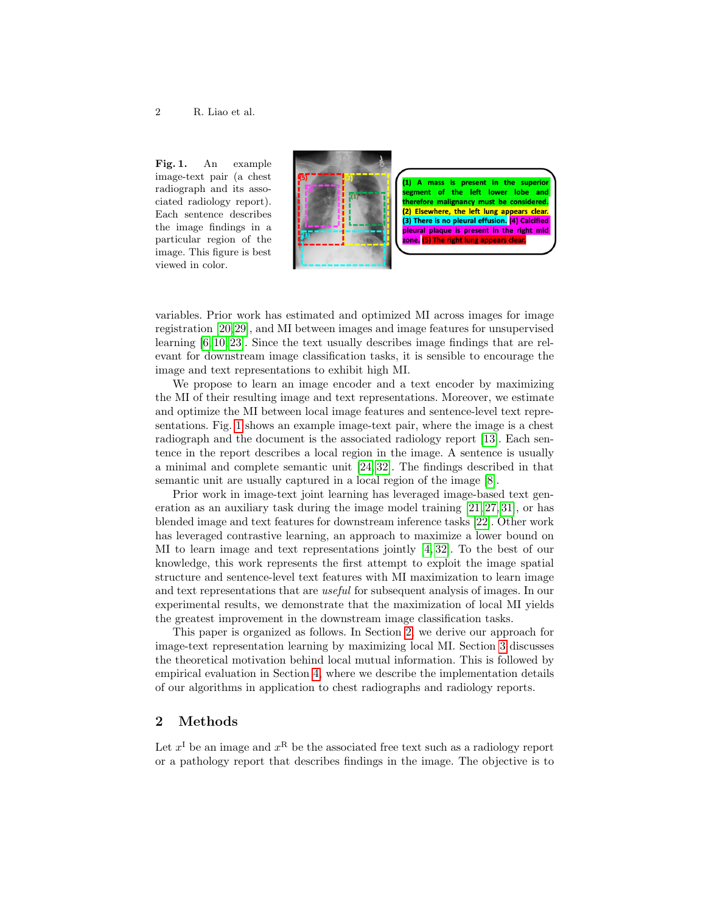Fig. 1. An example image-text pair (a chest radiograph and its associated radiology report). Each sentence describes the image findings in a particular region of the image. This figure is best viewed in color.



segment of the left lower lobe and therefore malignancy must be considered (2) Elsewhere, the left lung appears clear. (3) There is no pleural effusion. (4) Calcified pleural plaque is present in the right mid zone. (5) The right

variables. Prior work has estimated and optimized MI across images for image registration [\[20,](#page-10-1)[29\]](#page-10-2), and MI between images and image features for unsupervised learning [\[6,](#page-9-4) [10,](#page-9-5) [23\]](#page-10-3). Since the text usually describes image findings that are relevant for downstream image classification tasks, it is sensible to encourage the image and text representations to exhibit high MI.

We propose to learn an image encoder and a text encoder by maximizing the MI of their resulting image and text representations. Moreover, we estimate and optimize the MI between local image features and sentence-level text representations. Fig. [1](#page-0-0) shows an example image-text pair, where the image is a chest radiograph and the document is the associated radiology report [\[13\]](#page-9-1). Each sentence in the report describes a local region in the image. A sentence is usually a minimal and complete semantic unit [\[24,](#page-10-4) [32\]](#page-11-0). The findings described in that semantic unit are usually captured in a local region of the image [\[8\]](#page-9-6).

Prior work in image-text joint learning has leveraged image-based text generation as an auxiliary task during the image model training  $[21, 27, 31]$  $[21, 27, 31]$  $[21, 27, 31]$ , or has blended image and text features for downstream inference tasks [\[22\]](#page-10-8). Other work has leveraged contrastive learning, an approach to maximize a lower bound on MI to learn image and text representations jointly [\[4,](#page-9-7) [32\]](#page-11-0). To the best of our knowledge, this work represents the first attempt to exploit the image spatial structure and sentence-level text features with MI maximization to learn image and text representations that are useful for subsequent analysis of images. In our experimental results, we demonstrate that the maximization of local MI yields the greatest improvement in the downstream image classification tasks.

This paper is organized as follows. In Section [2,](#page-1-0) we derive our approach for image-text representation learning by maximizing local MI. Section [3](#page-4-0) discusses the theoretical motivation behind local mutual information. This is followed by empirical evaluation in Section [4,](#page-5-0) where we describe the implementation details of our algorithms in application to chest radiographs and radiology reports.

#### <span id="page-1-0"></span>2 Methods

Let  $x^{\text{I}}$  be an image and  $x^{\text{R}}$  be the associated free text such as a radiology report or a pathology report that describes findings in the image. The objective is to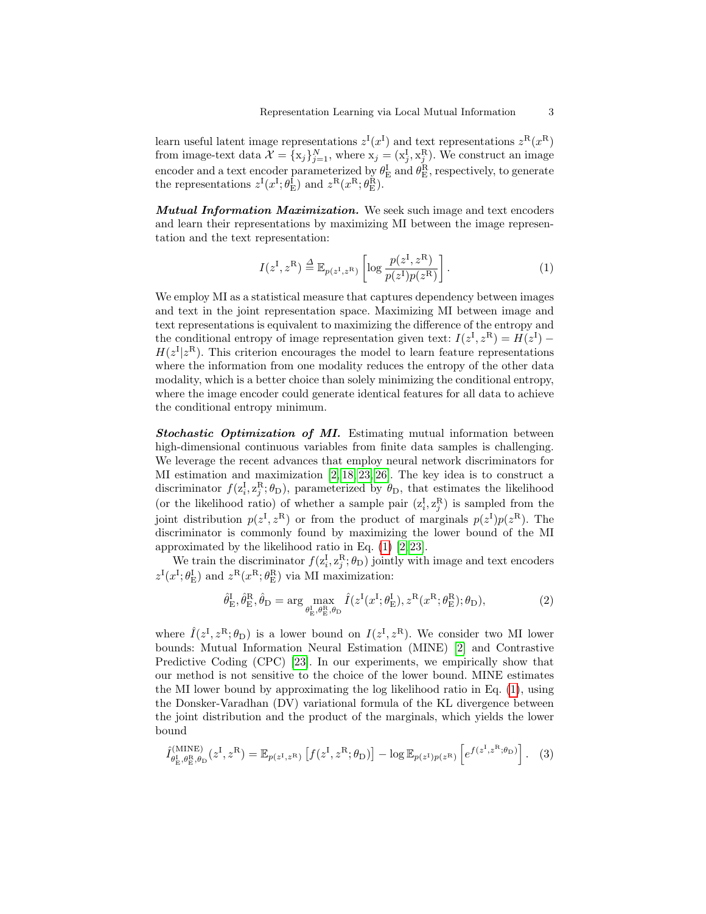learn useful latent image representations  $z^{\text{I}}(x^{\text{I}})$  and text representations  $z^{\text{R}}(x^{\text{R}})$ from image-text data  $\mathcal{X} = \{x_j\}_{j=1}^N$ , where  $x_j = (x_j^I, x_j^R)$ . We construct an image encoder and a text encoder parameterized by  $\theta_{\rm E}^{\rm I}$  and  $\theta_{\rm E}^{\rm R}$ , respectively, to generate the representations  $z^{\text{I}}(x^{\text{I}}; \theta_{\text{E}}^{\text{I}})$  and  $z^{\text{R}}(x^{\text{R}}; \theta_{\text{E}}^{\text{R}})$ .

Mutual Information Maximization. We seek such image and text encoders and learn their representations by maximizing MI between the image representation and the text representation:

<span id="page-2-0"></span>
$$
I(z^{\mathrm{I}}, z^{\mathrm{R}}) \stackrel{\Delta}{=} \mathbb{E}_{p(z^{\mathrm{I}}, z^{\mathrm{R}})} \left[ \log \frac{p(z^{\mathrm{I}}, z^{\mathrm{R}})}{p(z^{\mathrm{I}}) p(z^{\mathrm{R}})} \right]. \tag{1}
$$

We employ MI as a statistical measure that captures dependency between images and text in the joint representation space. Maximizing MI between image and text representations is equivalent to maximizing the difference of the entropy and the conditional entropy of image representation given text:  $I(z^{\text{I}}, z^{\text{R}}) = H(z^{\text{I}})$  $H(z^{\mathrm{I}}|z^{\mathrm{R}})$ . This criterion encourages the model to learn feature representations where the information from one modality reduces the entropy of the other data modality, which is a better choice than solely minimizing the conditional entropy, where the image encoder could generate identical features for all data to achieve the conditional entropy minimum.

Stochastic Optimization of MI. Estimating mutual information between high-dimensional continuous variables from finite data samples is challenging. We leverage the recent advances that employ neural network discriminators for MI estimation and maximization [\[2,](#page-9-8) [18,](#page-10-9) [23,](#page-10-3) [26\]](#page-10-10). The key idea is to construct a discriminator  $f(z_i^{\text{I}}, z_j^{\text{R}}; \theta_{\text{D}})$ , parameterized by  $\theta_{\text{D}}$ , that estimates the likelihood (or the likelihood ratio) of whether a sample pair  $(z_i^I, z_j^R)$  is sampled from the joint distribution  $p(z^{\mathrm{I}}, z^{\mathrm{R}})$  or from the product of marginals  $p(z^{\mathrm{I}})p(z^{\mathrm{R}})$ . The discriminator is commonly found by maximizing the lower bound of the MI approximated by the likelihood ratio in Eq.  $(1)$   $[2, 23]$  $[2, 23]$ .

We train the discriminator  $f(z_i^{\text{I}}, z_j^{\text{R}}; \theta_{\text{D}})$  jointly with image and text encoders  $z^{\text{I}}(x^{\text{I}}; \theta_{\text{E}}^{\text{I}})$  and  $z^{\text{R}}(x^{\text{R}}; \theta_{\text{E}}^{\text{R}})$  via MI maximization:

$$
\hat{\theta}_{\mathrm{E}}^{\mathrm{I}}, \hat{\theta}_{\mathrm{E}}^{\mathrm{R}}, \hat{\theta}_{\mathrm{D}} = \arg \max_{\theta_{\mathrm{E}}^{\mathrm{I}}, \theta_{\mathrm{E}}^{\mathrm{R}}, \theta_{\mathrm{D}}} \hat{I}(z^{\mathrm{I}}(x^{\mathrm{I}}; \theta_{\mathrm{E}}^{\mathrm{I}}), z^{\mathrm{R}}(x^{\mathrm{R}}; \theta_{\mathrm{E}}^{\mathrm{R}}); \theta_{\mathrm{D}}), \tag{2}
$$

where  $\hat{I}(z^{\rm I}, z^{\rm R}; \theta_{\rm D})$  is a lower bound on  $I(z^{\rm I}, z^{\rm R})$ . We consider two MI lower bounds: Mutual Information Neural Estimation (MINE) [\[2\]](#page-9-8) and Contrastive Predictive Coding (CPC) [\[23\]](#page-10-3). In our experiments, we empirically show that our method is not sensitive to the choice of the lower bound. MINE estimates the MI lower bound by approximating the log likelihood ratio in Eq. [\(1\)](#page-2-0), using the Donsker-Varadhan (DV) variational formula of the KL divergence between the joint distribution and the product of the marginals, which yields the lower bound

$$
\hat{I}_{\theta_{\rm E}^{\rm I},\theta_{\rm E}^{\rm R},\theta_{\rm D}}^{\rm (MINE)}(z^{\rm I},z^{\rm R}) = \mathbb{E}_{p(z^{\rm I},z^{\rm R})}\left[f(z^{\rm I},z^{\rm R};\theta_{\rm D})\right] - \log \mathbb{E}_{p(z^{\rm I})p(z^{\rm R})}\left[e^{f(z^{\rm I},z^{\rm R};\theta_{\rm D})}\right].
$$
 (3)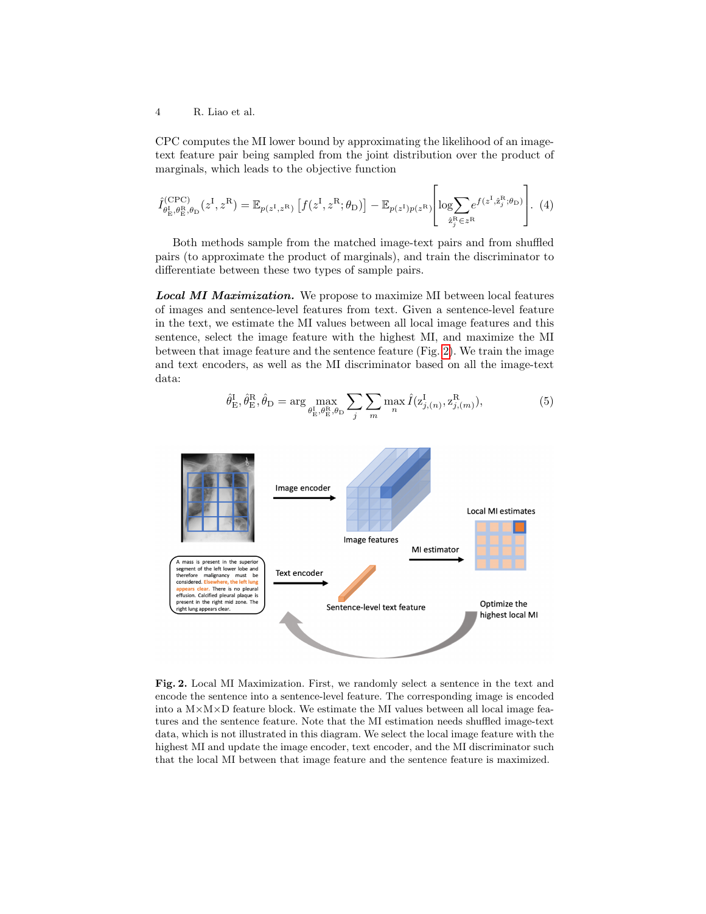CPC computes the MI lower bound by approximating the likelihood of an imagetext feature pair being sampled from the joint distribution over the product of marginals, which leads to the objective function

$$
\hat{I}_{\theta_{\rm E}^{\rm I},\theta_{\rm E}^{\rm R},\theta_{\rm D}}^{\rm (CPC)}(z^{\rm I},z^{\rm R}) = \mathbb{E}_{p(z^{\rm I},z^{\rm R})}\left[f(z^{\rm I},z^{\rm R};\theta_{\rm D})\right] - \mathbb{E}_{p(z^{\rm I})p(z^{\rm R})}\left[\log\sum_{\hat{z}_{j}^{\rm R}\in z^{\rm R}}e^{f(z^{\rm I},\hat{z}_{j}^{\rm R};\theta_{\rm D})}\right].
$$
 (4)

Both methods sample from the matched image-text pairs and from shuffled pairs (to approximate the product of marginals), and train the discriminator to differentiate between these two types of sample pairs.

Local MI Maximization. We propose to maximize MI between local features of images and sentence-level features from text. Given a sentence-level feature in the text, we estimate the MI values between all local image features and this sentence, select the image feature with the highest MI, and maximize the MI between that image feature and the sentence feature (Fig. [2\)](#page-3-0). We train the image and text encoders, as well as the MI discriminator based on all the image-text data:

<span id="page-3-1"></span>
$$
\hat{\theta}_{\mathrm{E}}^{\mathrm{I}}, \hat{\theta}_{\mathrm{E}}^{\mathrm{R}}, \hat{\theta}_{\mathrm{D}} = \arg \max_{\theta_{\mathrm{E}}^{\mathrm{I}}, \theta_{\mathrm{E}}^{\mathrm{R}}, \theta_{\mathrm{D}}} \sum_{j} \sum_{m} \max_{n} \hat{I}(\mathbf{z}_{j,(n)}^{\mathrm{I}}, \mathbf{z}_{j,(m)}^{\mathrm{R}}), \tag{5}
$$



<span id="page-3-0"></span>Fig. 2. Local MI Maximization. First, we randomly select a sentence in the text and encode the sentence into a sentence-level feature. The corresponding image is encoded into a  $M \times M \times D$  feature block. We estimate the MI values between all local image features and the sentence feature. Note that the MI estimation needs shuffled image-text data, which is not illustrated in this diagram. We select the local image feature with the highest MI and update the image encoder, text encoder, and the MI discriminator such that the local MI between that image feature and the sentence feature is maximized.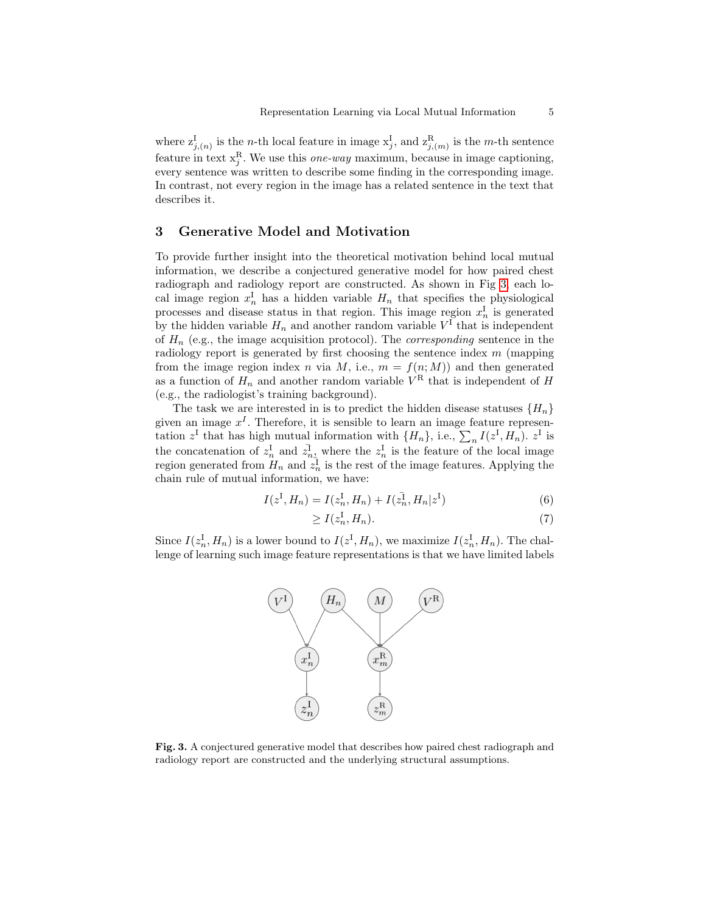where  $z_{j,(n)}^{\text{I}}$  is the *n*-th local feature in image  $x_j^{\text{I}}$ , and  $z_{j,(m)}^{\text{R}}$  is the *m*-th sentence feature in text  $x_j^R$ . We use this *one-way* maximum, because in image captioning, every sentence was written to describe some finding in the corresponding image. In contrast, not every region in the image has a related sentence in the text that describes it.

#### <span id="page-4-0"></span>3 Generative Model and Motivation

To provide further insight into the theoretical motivation behind local mutual information, we describe a conjectured generative model for how paired chest radiograph and radiology report are constructed. As shown in Fig [3,](#page-4-1) each local image region  $x_n^{\text{I}}$  has a hidden variable  $H_n$  that specifies the physiological processes and disease status in that region. This image region  $x_n^{\text{I}}$  is generated by the hidden variable  $H_n$  and another random variable  $V^{\text{I}}$  that is independent of  $H_n$  (e.g., the image acquisition protocol). The *corresponding* sentence in the radiology report is generated by first choosing the sentence index  $m$  (mapping from the image region index n via M, i.e.,  $m = f(n; M)$  and then generated as a function of  $H_n$  and another random variable  $V^R$  that is independent of H (e.g., the radiologist's training background).

The task we are interested in is to predict the hidden disease statuses  $\{H_n\}$ given an image  $x<sup>I</sup>$ . Therefore, it is sensible to learn an image feature representation  $z^{\text{I}}$  that has high mutual information with  $\{H_n\}$ , i.e.,  $\sum_n I(z^{\text{I}}, H_n)$ .  $z^{\text{I}}$  is the concatenation of  $z_n^I$  and  $\overline{z}_{n_2}^I$  where the  $z_n^I$  is the feature of the local image region generated from  $\prod_{n=1}^n$  and  $z_n^{\frac{n-2}{2}}$  is the rest of the image features. Applying the chain rule of mutual information, we have:

$$
I(z^{\mathrm{I}}, H_n) = I(z_n^{\mathrm{I}}, H_n) + I(z_n^{\mathrm{I}}, H_n|z^{\mathrm{I}})
$$
\n(6)

$$
\geq I(z_n^{\mathrm{I}}, H_n). \tag{7}
$$

Since  $I(z_n^{\mathrm{I}}, H_n)$  is a lower bound to  $I(z^{\mathrm{I}}, H_n)$ , we maximize  $I(z_n^{\mathrm{I}}, H_n)$ . The challenge of learning such image feature representations is that we have limited labels



<span id="page-4-1"></span>Fig. 3. A conjectured generative model that describes how paired chest radiograph and radiology report are constructed and the underlying structural assumptions.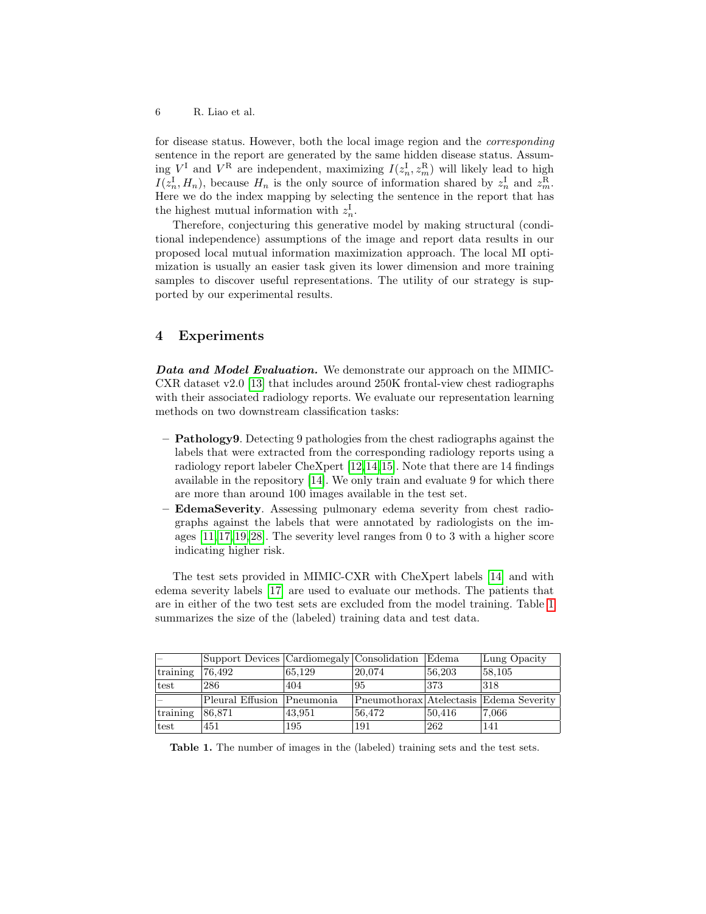for disease status. However, both the local image region and the corresponding sentence in the report are generated by the same hidden disease status. Assuming  $V^{\text{I}}$  and  $V^{\text{R}}$  are independent, maximizing  $I(z_n^{\text{I}}, z_m^{\text{R}})$  will likely lead to high  $I(z_n^{\text{I}}, H_n)$ , because  $H_n$  is the only source of information shared by  $z_n^{\text{I}}$  and  $z_m^{\text{R}}$ . Here we do the index mapping by selecting the sentence in the report that has the highest mutual information with  $z_n^{\text{I}}$ .

Therefore, conjecturing this generative model by making structural (conditional independence) assumptions of the image and report data results in our proposed local mutual information maximization approach. The local MI optimization is usually an easier task given its lower dimension and more training samples to discover useful representations. The utility of our strategy is supported by our experimental results.

## <span id="page-5-0"></span>4 Experiments

Data and Model Evaluation. We demonstrate our approach on the MIMIC-CXR dataset v2.0 [\[13\]](#page-9-1) that includes around 250K frontal-view chest radiographs with their associated radiology reports. We evaluate our representation learning methods on two downstream classification tasks:

- $-$  **Pathology9.** Detecting 9 pathologies from the chest radiographs against the labels that were extracted from the corresponding radiology reports using a radiology report labeler CheXpert [\[12,](#page-9-9)[14,](#page-9-10)[15\]](#page-9-11). Note that there are 14 findings available in the repository [\[14\]](#page-9-10). We only train and evaluate 9 for which there are more than around 100 images available in the test set.
- EdemaSeverity. Assessing pulmonary edema severity from chest radiographs against the labels that were annotated by radiologists on the images  $[11, 17, 19, 28]$  $[11, 17, 19, 28]$  $[11, 17, 19, 28]$  $[11, 17, 19, 28]$ . The severity level ranges from 0 to 3 with a higher score indicating higher risk.

The test sets provided in MIMIC-CXR with CheXpert labels [\[14\]](#page-9-10) and with edema severity labels [\[17\]](#page-10-11) are used to evaluate our methods. The patients that are in either of the two test sets are excluded from the model training. Table [1](#page-5-1) summarizes the size of the (labeled) training data and test data.

|          | Support Devices Cardiomegaly Consolidation |        |        | <b>Edema</b> | Lung Opacity                            |
|----------|--------------------------------------------|--------|--------|--------------|-----------------------------------------|
| training | 76,492                                     | 65,129 | 20,074 | 56,203       | 58,105                                  |
| test     | 286                                        | 404    | 95     | 373          | 318                                     |
|          | Pleural Effusion   Pneumonia               |        |        |              | Pneumothorax Atelectasis Edema Severity |
| training | 86,871                                     | 43,951 | 56,472 | 50,416       | 7.066                                   |
|          |                                            |        |        |              |                                         |

<span id="page-5-1"></span>Table 1. The number of images in the (labeled) training sets and the test sets.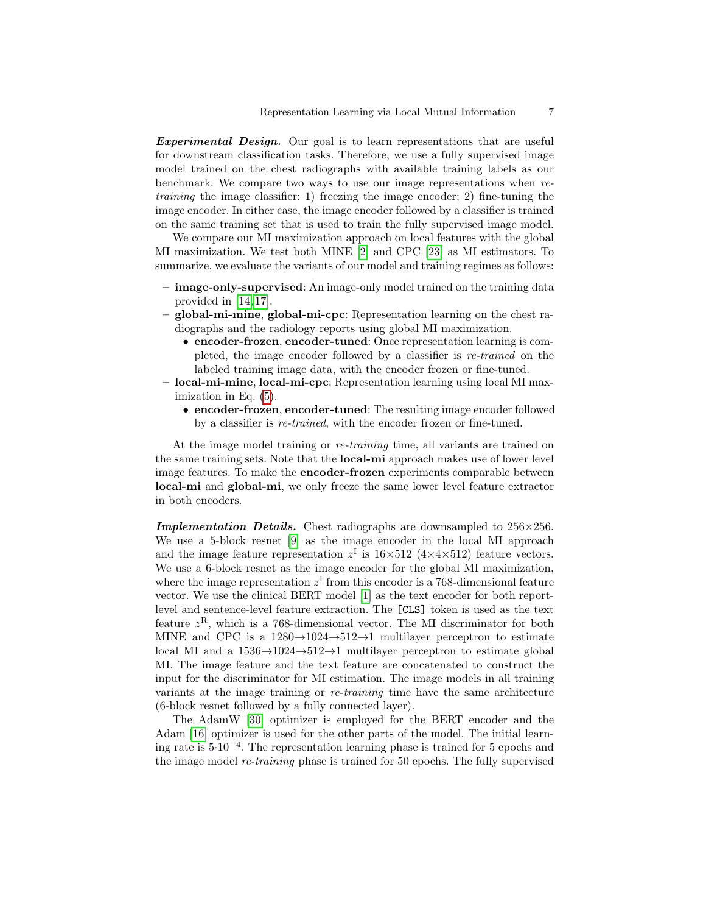Experimental Design. Our goal is to learn representations that are useful for downstream classification tasks. Therefore, we use a fully supervised image model trained on the chest radiographs with available training labels as our benchmark. We compare two ways to use our image representations when retraining the image classifier: 1) freezing the image encoder; 2) fine-tuning the image encoder. In either case, the image encoder followed by a classifier is trained on the same training set that is used to train the fully supervised image model.

We compare our MI maximization approach on local features with the global MI maximization. We test both MINE [\[2\]](#page-9-8) and CPC [\[23\]](#page-10-3) as MI estimators. To summarize, we evaluate the variants of our model and training regimes as follows:

- image-only-supervised: An image-only model trained on the training data provided in [\[14,](#page-9-10) [17\]](#page-10-11).
- global-mi-mine, global-mi-cpc: Representation learning on the chest radiographs and the radiology reports using global MI maximization.
	- encoder-frozen, encoder-tuned: Once representation learning is completed, the image encoder followed by a classifier is re-trained on the labeled training image data, with the encoder frozen or fine-tuned.
- local-mi-mine, local-mi-cpc: Representation learning using local MI maximization in Eq. [\(5\)](#page-3-1).
	- encoder-frozen, encoder-tuned: The resulting image encoder followed by a classifier is re-trained, with the encoder frozen or fine-tuned.

At the image model training or re-training time, all variants are trained on the same training sets. Note that the local-mi approach makes use of lower level image features. To make the encoder-frozen experiments comparable between local-mi and global-mi, we only freeze the same lower level feature extractor in both encoders.

Implementation Details. Chest radiographs are downsampled to  $256\times256$ . We use a 5-block resnet [\[9\]](#page-9-13) as the image encoder in the local MI approach and the image feature representation  $z^I$  is  $16\times512$  ( $4\times4\times512$ ) feature vectors. We use a 6-block resnet as the image encoder for the global MI maximization, where the image representation  $z<sup>I</sup>$  from this encoder is a 768-dimensional feature vector. We use the clinical BERT model [\[1\]](#page-9-14) as the text encoder for both reportlevel and sentence-level feature extraction. The [CLS] token is used as the text feature  $z^R$ , which is a 768-dimensional vector. The MI discriminator for both MINE and CPC is a  $1280 \rightarrow 1024 \rightarrow 512 \rightarrow 1$  multilayer perceptron to estimate local MI and a  $1536 \rightarrow 1024 \rightarrow 512 \rightarrow 1$  multilayer perceptron to estimate global MI. The image feature and the text feature are concatenated to construct the input for the discriminator for MI estimation. The image models in all training variants at the image training or re-training time have the same architecture (6-block resnet followed by a fully connected layer).

The AdamW [\[30\]](#page-10-14) optimizer is employed for the BERT encoder and the Adam [\[16\]](#page-10-15) optimizer is used for the other parts of the model. The initial learning rate is 5·10<sup>−</sup><sup>4</sup> . The representation learning phase is trained for 5 epochs and the image model re-training phase is trained for 50 epochs. The fully supervised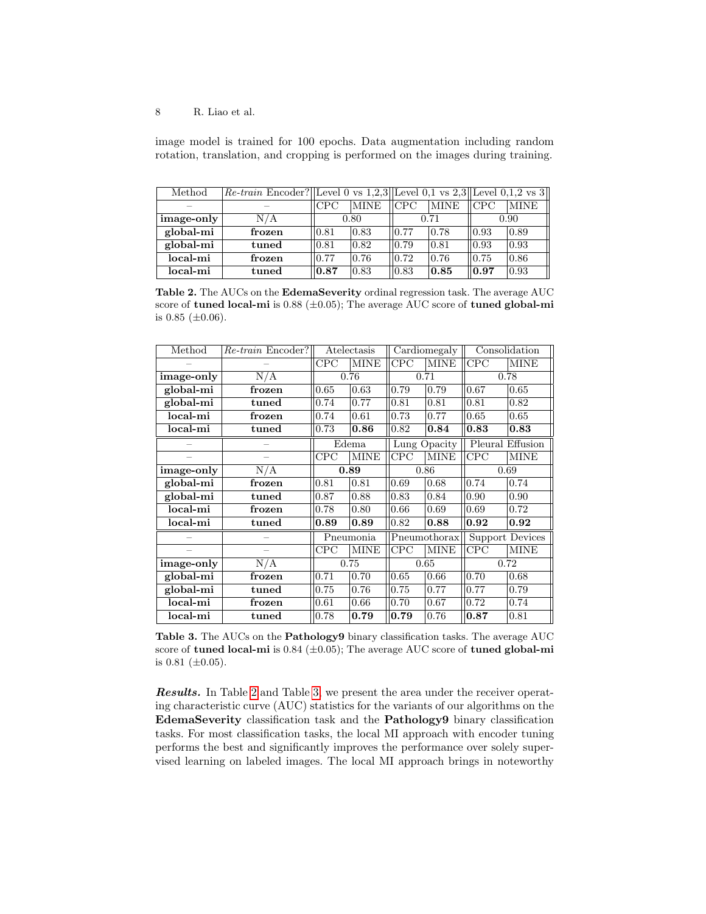image model is trained for 100 epochs. Data augmentation including random rotation, translation, and cropping is performed on the images during training.

| Method     | Re-train Encoder? Level 0 vs 1,2,3 Level 0,1 vs 2,3 Level 0,1,2 vs 3 |            |                |                 |             |      |                    |
|------------|----------------------------------------------------------------------|------------|----------------|-----------------|-------------|------|--------------------|
|            |                                                                      | <b>CPC</b> | MINE           | $\mathbb{ICPC}$ | <b>MINE</b> | CPC  | <b>MINE</b>        |
| image-only | N/A                                                                  | 0.80       |                | 0.71            |             | 0.90 |                    |
| global-mi  | frozen                                                               | 0.81       | $ 0.83\rangle$ | 10.77           | 0.78        | 0.93 | 0.89               |
| global-mi  | tuned                                                                | 0.81       | 0.82           | $ 0.79\rangle$  | 0.81        | 0.93 | 0.93               |
| local-mi   | frozen                                                               | 0.77       | 0.76           | $ 0.72\rangle$  | 0.76        | 0.75 | 0.86               |
| local-mi   | tuned                                                                | 0.87       | 0.83           | $ 0.83\rangle$  | 0.85        | 0.97 | $\vert 0.93 \vert$ |

<span id="page-7-0"></span>Table 2. The AUCs on the EdemaSeverity ordinal regression task. The average AUC score of tuned local-mi is  $0.88$  ( $\pm 0.05$ ); The average AUC score of tuned global-mi is  $0.85$  ( $\pm 0.06$ ).

| Method     | $Re-train$ Encoder? | Atelectasis |             | Cardiomegaly |             | Consolidation          |             |
|------------|---------------------|-------------|-------------|--------------|-------------|------------------------|-------------|
|            |                     | CPC         | <b>MINE</b> | CPC          | <b>MINE</b> | CPC                    | <b>MINE</b> |
| image-only | N/A                 | 0.76        |             | 0.71         |             | 0.78                   |             |
| global-mi  | frozen              | 0.65        | 0.63        | 0.79         | 0.79        | 0.67                   | 0.65        |
| global-mi  | $t$ uned            | 0.74        | 0.77        | 0.81         | 0.81        | 0.81                   | 0.82        |
| local-mi   | frozen              | 0.74        | 0.61        | 0.73         | 0.77        | 0.65                   | 0.65        |
| local-mi   | $t$ uned            | 0.73        | 0.86        | 0.82         | 0.84        | 0.83                   | 0.83        |
|            |                     | Edema       |             | Lung Opacity |             | Pleural Effusion       |             |
|            |                     | CPC         | <b>MINE</b> | CPC          | <b>MINE</b> | CPC                    | <b>MINE</b> |
| image-only | N/A                 | 0.89        |             | 0.86         |             | 0.69                   |             |
| global-mi  | frozen              | 0.81        | 0.81        | 0.69         | 0.68        | 0.74                   | 0.74        |
| global-mi  | $t$ uned            | 0.87        | 0.88        | 0.83         | 0.84        | 0.90                   | 0.90        |
| local-mi   | frozen              | 0.78        | 0.80        | 0.66         | 0.69        | 0.69                   | 0.72        |
| local-mi   | tuned               | 0.89        | 0.89        | 0.82         | 0.88        | 0.92                   | 0.92        |
|            |                     | Pneumonia   |             | Pneumothorax |             | <b>Support Devices</b> |             |
|            |                     | CPC         | <b>MINE</b> | CPC          | <b>MINE</b> | CPC                    | <b>MINE</b> |
| image-only | N/A                 | 0.75        |             | 0.65         |             | 0.72                   |             |
| global-mi  | frozen              | 0.71        | 0.70        | 0.65         | 0.66        | 0.70                   | 0.68        |
| global-mi  | $t$ uned            | 0.75        | 0.76        | 0.75         | 0.77        | 0.77                   | 0.79        |
| local-mi   | frozen              | 0.61        | 0.66        | 0.70         | 0.67        | 0.72                   | 0.74        |
| local-mi   | $_{\rm tuned}$      | 0.78        | 0.79        | 0.79         | 0.76        | 0.87                   | 0.81        |

<span id="page-7-1"></span>Table 3. The AUCs on the Pathology9 binary classification tasks. The average AUC score of tuned local-mi is  $0.84$  ( $\pm 0.05$ ); The average AUC score of tuned global-mi is  $0.81$  ( $\pm 0.05$ ).

Results. In Table [2](#page-7-0) and Table [3,](#page-7-1) we present the area under the receiver operating characteristic curve (AUC) statistics for the variants of our algorithms on the EdemaSeverity classification task and the Pathology9 binary classification tasks. For most classification tasks, the local MI approach with encoder tuning performs the best and significantly improves the performance over solely supervised learning on labeled images. The local MI approach brings in noteworthy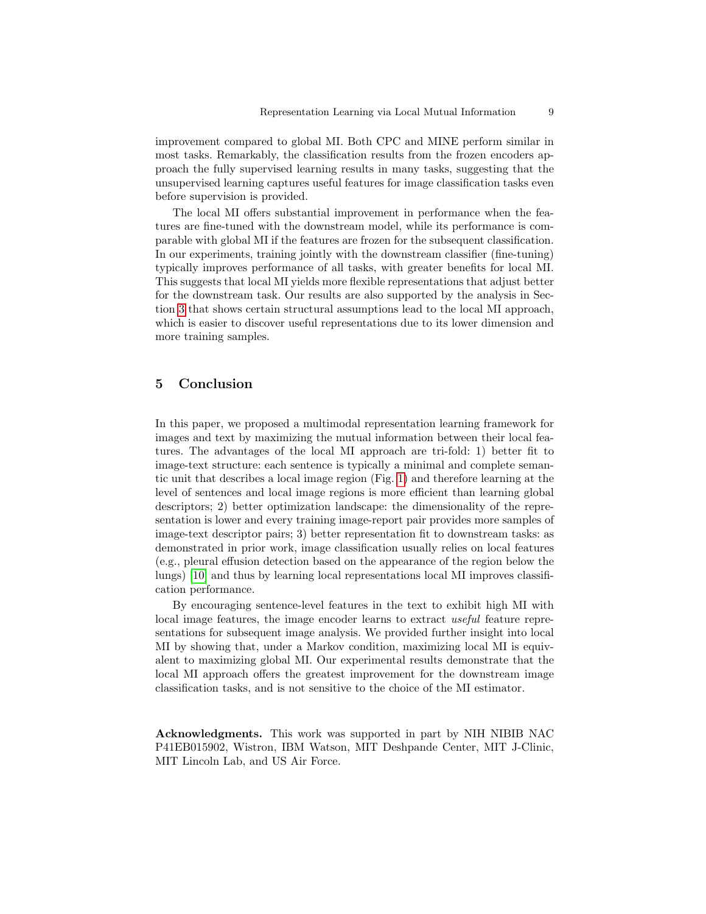improvement compared to global MI. Both CPC and MINE perform similar in most tasks. Remarkably, the classification results from the frozen encoders approach the fully supervised learning results in many tasks, suggesting that the unsupervised learning captures useful features for image classification tasks even before supervision is provided.

The local MI offers substantial improvement in performance when the features are fine-tuned with the downstream model, while its performance is comparable with global MI if the features are frozen for the subsequent classification. In our experiments, training jointly with the downstream classifier (fine-tuning) typically improves performance of all tasks, with greater benefits for local MI. This suggests that local MI yields more flexible representations that adjust better for the downstream task. Our results are also supported by the analysis in Section [3](#page-4-0) that shows certain structural assumptions lead to the local MI approach, which is easier to discover useful representations due to its lower dimension and more training samples.

## 5 Conclusion

In this paper, we proposed a multimodal representation learning framework for images and text by maximizing the mutual information between their local features. The advantages of the local MI approach are tri-fold: 1) better fit to image-text structure: each sentence is typically a minimal and complete semantic unit that describes a local image region (Fig. [1\)](#page-0-0) and therefore learning at the level of sentences and local image regions is more efficient than learning global descriptors; 2) better optimization landscape: the dimensionality of the representation is lower and every training image-report pair provides more samples of image-text descriptor pairs; 3) better representation fit to downstream tasks: as demonstrated in prior work, image classification usually relies on local features (e.g., pleural effusion detection based on the appearance of the region below the lungs) [\[10\]](#page-9-5) and thus by learning local representations local MI improves classification performance.

By encouraging sentence-level features in the text to exhibit high MI with local image features, the image encoder learns to extract useful feature representations for subsequent image analysis. We provided further insight into local MI by showing that, under a Markov condition, maximizing local MI is equivalent to maximizing global MI. Our experimental results demonstrate that the local MI approach offers the greatest improvement for the downstream image classification tasks, and is not sensitive to the choice of the MI estimator.

Acknowledgments. This work was supported in part by NIH NIBIB NAC P41EB015902, Wistron, IBM Watson, MIT Deshpande Center, MIT J-Clinic, MIT Lincoln Lab, and US Air Force.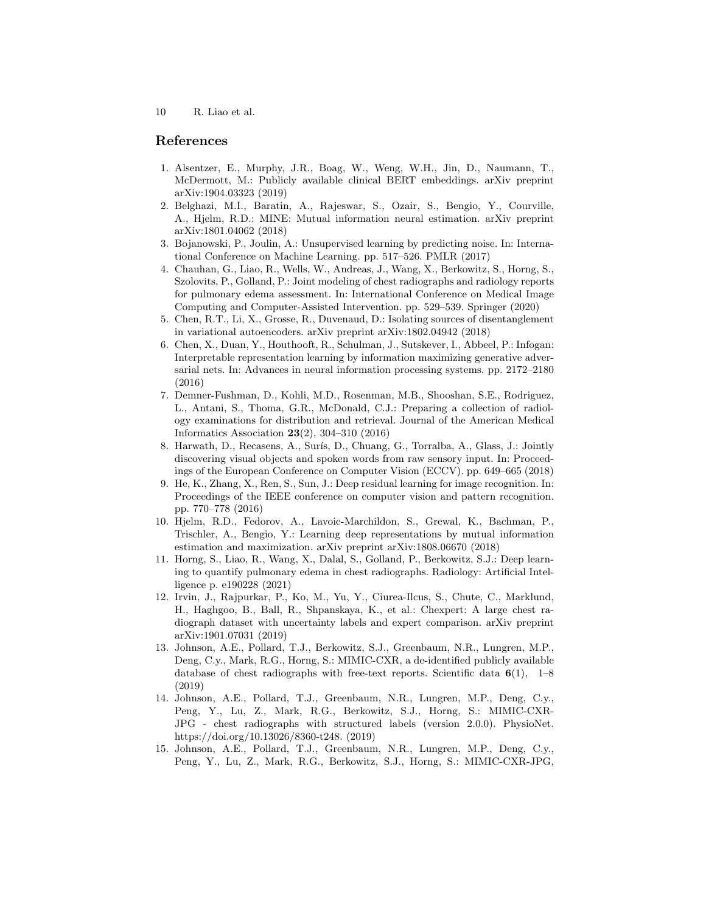#### References

- <span id="page-9-14"></span>1. Alsentzer, E., Murphy, J.R., Boag, W., Weng, W.H., Jin, D., Naumann, T., McDermott, M.: Publicly available clinical BERT embeddings. arXiv preprint arXiv:1904.03323 (2019)
- <span id="page-9-8"></span>2. Belghazi, M.I., Baratin, A., Rajeswar, S., Ozair, S., Bengio, Y., Courville, A., Hjelm, R.D.: MINE: Mutual information neural estimation. arXiv preprint arXiv:1801.04062 (2018)
- <span id="page-9-2"></span>3. Bojanowski, P., Joulin, A.: Unsupervised learning by predicting noise. In: International Conference on Machine Learning. pp. 517–526. PMLR (2017)
- <span id="page-9-7"></span>4. Chauhan, G., Liao, R., Wells, W., Andreas, J., Wang, X., Berkowitz, S., Horng, S., Szolovits, P., Golland, P.: Joint modeling of chest radiographs and radiology reports for pulmonary edema assessment. In: International Conference on Medical Image Computing and Computer-Assisted Intervention. pp. 529–539. Springer (2020)
- <span id="page-9-3"></span>5. Chen, R.T., Li, X., Grosse, R., Duvenaud, D.: Isolating sources of disentanglement in variational autoencoders. arXiv preprint arXiv:1802.04942 (2018)
- <span id="page-9-4"></span>6. Chen, X., Duan, Y., Houthooft, R., Schulman, J., Sutskever, I., Abbeel, P.: Infogan: Interpretable representation learning by information maximizing generative adversarial nets. In: Advances in neural information processing systems. pp. 2172–2180 (2016)
- <span id="page-9-0"></span>7. Demner-Fushman, D., Kohli, M.D., Rosenman, M.B., Shooshan, S.E., Rodriguez, L., Antani, S., Thoma, G.R., McDonald, C.J.: Preparing a collection of radiology examinations for distribution and retrieval. Journal of the American Medical Informatics Association 23(2), 304–310 (2016)
- <span id="page-9-6"></span>8. Harwath, D., Recasens, A., Surís, D., Chuang, G., Torralba, A., Glass, J.: Jointly discovering visual objects and spoken words from raw sensory input. In: Proceedings of the European Conference on Computer Vision (ECCV). pp. 649–665 (2018)
- <span id="page-9-13"></span>9. He, K., Zhang, X., Ren, S., Sun, J.: Deep residual learning for image recognition. In: Proceedings of the IEEE conference on computer vision and pattern recognition. pp. 770–778 (2016)
- <span id="page-9-5"></span>10. Hjelm, R.D., Fedorov, A., Lavoie-Marchildon, S., Grewal, K., Bachman, P., Trischler, A., Bengio, Y.: Learning deep representations by mutual information estimation and maximization. arXiv preprint arXiv:1808.06670 (2018)
- <span id="page-9-12"></span>11. Horng, S., Liao, R., Wang, X., Dalal, S., Golland, P., Berkowitz, S.J.: Deep learning to quantify pulmonary edema in chest radiographs. Radiology: Artificial Intelligence p. e190228 (2021)
- <span id="page-9-9"></span>12. Irvin, J., Rajpurkar, P., Ko, M., Yu, Y., Ciurea-Ilcus, S., Chute, C., Marklund, H., Haghgoo, B., Ball, R., Shpanskaya, K., et al.: Chexpert: A large chest radiograph dataset with uncertainty labels and expert comparison. arXiv preprint arXiv:1901.07031 (2019)
- <span id="page-9-1"></span>13. Johnson, A.E., Pollard, T.J., Berkowitz, S.J., Greenbaum, N.R., Lungren, M.P., Deng, C.y., Mark, R.G., Horng, S.: MIMIC-CXR, a de-identified publicly available database of chest radiographs with free-text reports. Scientific data  $6(1)$ , 1–8 (2019)
- <span id="page-9-10"></span>14. Johnson, A.E., Pollard, T.J., Greenbaum, N.R., Lungren, M.P., Deng, C.y., Peng, Y., Lu, Z., Mark, R.G., Berkowitz, S.J., Horng, S.: MIMIC-CXR-JPG - chest radiographs with structured labels (version 2.0.0). PhysioNet. https://doi.org/10.13026/8360-t248. (2019)
- <span id="page-9-11"></span>15. Johnson, A.E., Pollard, T.J., Greenbaum, N.R., Lungren, M.P., Deng, C.y., Peng, Y., Lu, Z., Mark, R.G., Berkowitz, S.J., Horng, S.: MIMIC-CXR-JPG,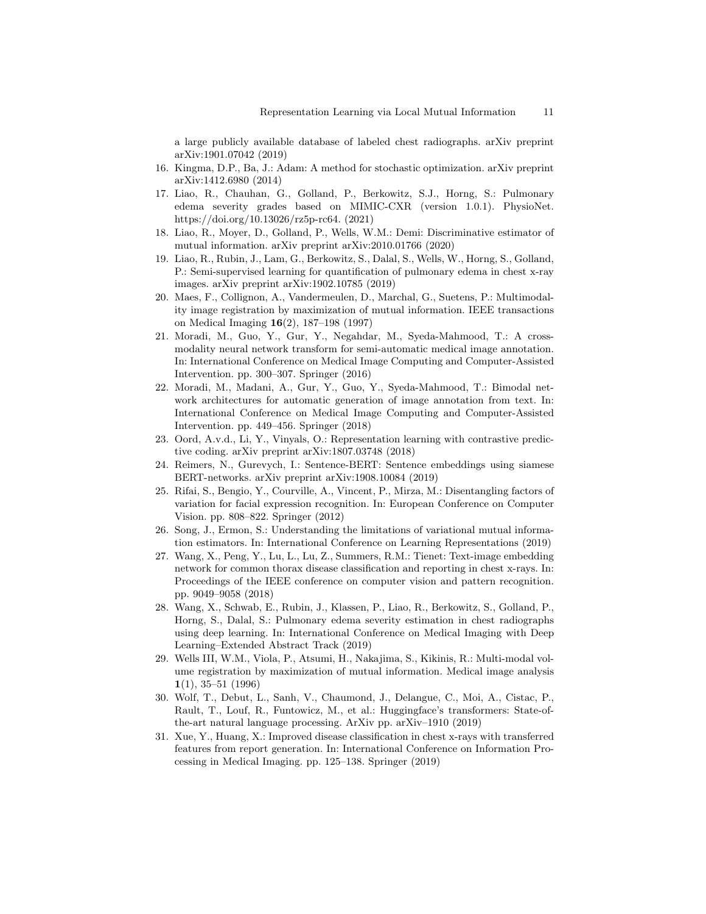a large publicly available database of labeled chest radiographs. arXiv preprint arXiv:1901.07042 (2019)

- <span id="page-10-15"></span>16. Kingma, D.P., Ba, J.: Adam: A method for stochastic optimization. arXiv preprint arXiv:1412.6980 (2014)
- <span id="page-10-11"></span>17. Liao, R., Chauhan, G., Golland, P., Berkowitz, S.J., Horng, S.: Pulmonary edema severity grades based on MIMIC-CXR (version 1.0.1). PhysioNet. https://doi.org/10.13026/rz5p-rc64. (2021)
- <span id="page-10-9"></span>18. Liao, R., Moyer, D., Golland, P., Wells, W.M.: Demi: Discriminative estimator of mutual information. arXiv preprint arXiv:2010.01766 (2020)
- <span id="page-10-12"></span>19. Liao, R., Rubin, J., Lam, G., Berkowitz, S., Dalal, S., Wells, W., Horng, S., Golland, P.: Semi-supervised learning for quantification of pulmonary edema in chest x-ray images. arXiv preprint arXiv:1902.10785 (2019)
- <span id="page-10-1"></span>20. Maes, F., Collignon, A., Vandermeulen, D., Marchal, G., Suetens, P.: Multimodality image registration by maximization of mutual information. IEEE transactions on Medical Imaging 16(2), 187–198 (1997)
- <span id="page-10-5"></span>21. Moradi, M., Guo, Y., Gur, Y., Negahdar, M., Syeda-Mahmood, T.: A crossmodality neural network transform for semi-automatic medical image annotation. In: International Conference on Medical Image Computing and Computer-Assisted Intervention. pp. 300–307. Springer (2016)
- <span id="page-10-8"></span>22. Moradi, M., Madani, A., Gur, Y., Guo, Y., Syeda-Mahmood, T.: Bimodal network architectures for automatic generation of image annotation from text. In: International Conference on Medical Image Computing and Computer-Assisted Intervention. pp. 449–456. Springer (2018)
- <span id="page-10-3"></span>23. Oord, A.v.d., Li, Y., Vinyals, O.: Representation learning with contrastive predictive coding. arXiv preprint arXiv:1807.03748 (2018)
- <span id="page-10-4"></span>24. Reimers, N., Gurevych, I.: Sentence-BERT: Sentence embeddings using siamese BERT-networks. arXiv preprint arXiv:1908.10084 (2019)
- <span id="page-10-0"></span>25. Rifai, S., Bengio, Y., Courville, A., Vincent, P., Mirza, M.: Disentangling factors of variation for facial expression recognition. In: European Conference on Computer Vision. pp. 808–822. Springer (2012)
- <span id="page-10-10"></span>26. Song, J., Ermon, S.: Understanding the limitations of variational mutual information estimators. In: International Conference on Learning Representations (2019)
- <span id="page-10-6"></span>27. Wang, X., Peng, Y., Lu, L., Lu, Z., Summers, R.M.: Tienet: Text-image embedding network for common thorax disease classification and reporting in chest x-rays. In: Proceedings of the IEEE conference on computer vision and pattern recognition. pp. 9049–9058 (2018)
- <span id="page-10-13"></span>28. Wang, X., Schwab, E., Rubin, J., Klassen, P., Liao, R., Berkowitz, S., Golland, P., Horng, S., Dalal, S.: Pulmonary edema severity estimation in chest radiographs using deep learning. In: International Conference on Medical Imaging with Deep Learning–Extended Abstract Track (2019)
- <span id="page-10-2"></span>29. Wells III, W.M., Viola, P., Atsumi, H., Nakajima, S., Kikinis, R.: Multi-modal volume registration by maximization of mutual information. Medical image analysis 1(1), 35–51 (1996)
- <span id="page-10-14"></span>30. Wolf, T., Debut, L., Sanh, V., Chaumond, J., Delangue, C., Moi, A., Cistac, P., Rault, T., Louf, R., Funtowicz, M., et al.: Huggingface's transformers: State-ofthe-art natural language processing. ArXiv pp. arXiv–1910 (2019)
- <span id="page-10-7"></span>31. Xue, Y., Huang, X.: Improved disease classification in chest x-rays with transferred features from report generation. In: International Conference on Information Processing in Medical Imaging. pp. 125–138. Springer (2019)